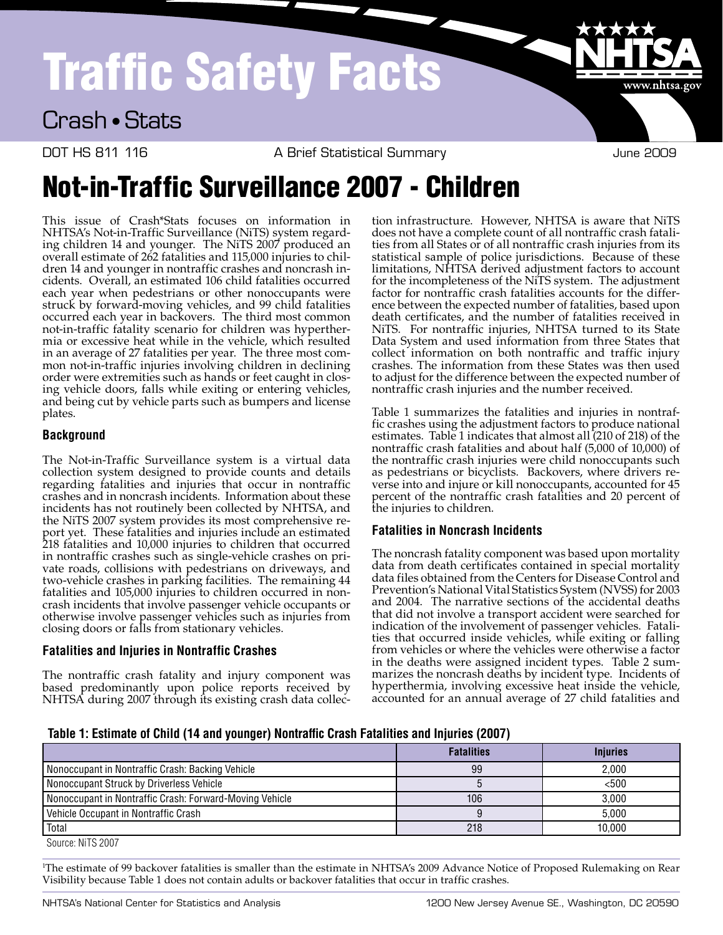# Traffic Safety Facts

### Crash • Stats

DOT HS 811 116 COOS A Brief Statistical Summary Coose and the 2009

www.nhtsa.go

## Not-in-Traffic Surveillance 2007 - Children

This issue of Crash\*Stats focuses on information in NHTSA's Not-in-Traffic Surveillance (NiTS) system regarding children 14 and younger. The NiTS 2007 produced an overall estimate of 262 fatalities and 115,000 injuries to children 14 and younger in nontraffic crashes and noncrash incidents. Overall, an estimated 106 child fatalities occurred each year when pedestrians or other nonoccupants were struck by forward-moving vehicles, and 99 child fatalities occurred each year in backovers. The third most common not-in-traffic fatality scenario for children was hyperthermia or excessive heat while in the vehicle, which resulted in an average of 27 fatalities per year. The three most common not-in-traffic injuries involving children in declining order were extremities such as hands or feet caught in closing vehicle doors, falls while exiting or entering vehicles, and being cut by vehicle parts such as bumpers and license plates.

#### **Background**

The Not-in-Traffic Surveillance system is a virtual data collection system designed to provide counts and details regarding fatalities and injuries that occur in nontraffic crashes and in noncrash incidents. Information about these incidents has not routinely been collected by NHTSA, and the NiTS 2007 system provides its most comprehensive report yet. These fatalities and injuries include an estimated 218 fatalities and 10,000 injuries to children that occurred in nontraffic crashes such as single-vehicle crashes on private roads, collisions with pedestrians on driveways, and two-vehicle crashes in parking facilities. The remaining 44 fatalities and 105,000 injuries to children occurred in noncrash incidents that involve passenger vehicle occupants or otherwise involve passenger vehicles such as injuries from closing doors or falls from stationary vehicles.

#### **Fatalities and Injuries in Nontraffic Crashes**

The nontraffic crash fatality and injury component was based predominantly upon police reports received by NHTSA during 2007 through its existing crash data collec-

tion infrastructure. However, NHTSA is aware that NiTS does not have a complete count of all nontraffic crash fatalities from all States or of all nontraffic crash injuries from its statistical sample of police jurisdictions. Because of these limitations, NHTSA derived adjustment factors to account for the incompleteness of the NiTS system. The adjustment factor for nontraffic crash fatalities accounts for the difference between the expected number of fatalities, based upon death certificates, and the number of fatalities received in NiTS. For nontraffic injuries, NHTSA turned to its State Data System and used information from three States that collect information on both nontraffic and traffic injury crashes. The information from these States was then used to adjust for the difference between the expected number of nontraffic crash injuries and the number received.

Table 1 summarizes the fatalities and injuries in nontraffic crashes using the adjustment factors to produce national estimates. Table 1 indicates that almost all (210 of 218) of the nontraffic crash fatalities and about half (5,000 of 10,000) of the nontraffic crash injuries were child nonoccupants such as pedestrians or bicyclists. Backovers, where drivers reverse into and injure or kill nonoccupants, accounted for 45 percent of the nontraffic crash fatalities and 20 percent of the injuries to children.

#### **Fatalities in Noncrash Incidents**

The noncrash fatality component was based upon mortality data from death certificates contained in special mortality data files obtained from the Centers for Disease Control and Prevention's National Vital Statistics System (NVSS) for 2003 and 2004. The narrative sections of the accidental deaths that did not involve a transport accident were searched for indication of the involvement of passenger vehicles. Fatalities that occurred inside vehicles, while exiting or falling from vehicles or where the vehicles were otherwise a factor in the deaths were assigned incident types. Table 2 summarizes the noncrash deaths by incident type. Incidents of hyperthermia, involving excessive heat inside the vehicle, accounted for an annual average of 27 child fatalities and

**Table 1: Estimate of Child (14 and younger) Nontraffic Crash Fatalities and Injuries (2007)**

|                                                         | <b>Fatalities</b> | <b>Injuries</b> |
|---------------------------------------------------------|-------------------|-----------------|
| Nonoccupant in Nontraffic Crash: Backing Vehicle        | 99                | 2.000           |
| Nonoccupant Struck by Driverless Vehicle                |                   | < 500           |
| Nonoccupant in Nontraffic Crash: Forward-Moving Vehicle | 106               | 3.000           |
| Vehicle Occupant in Nontraffic Crash                    |                   | 5.000           |
| l Total                                                 | 218               | 10.000          |

Source: NiTS 2007

1 The estimate of 99 backover fatalities is smaller than the estimate in NHTSA's 2009 Advance Notice of Proposed Rulemaking on Rear Visibility because Table 1 does not contain adults or backover fatalities that occur in traffic crashes.